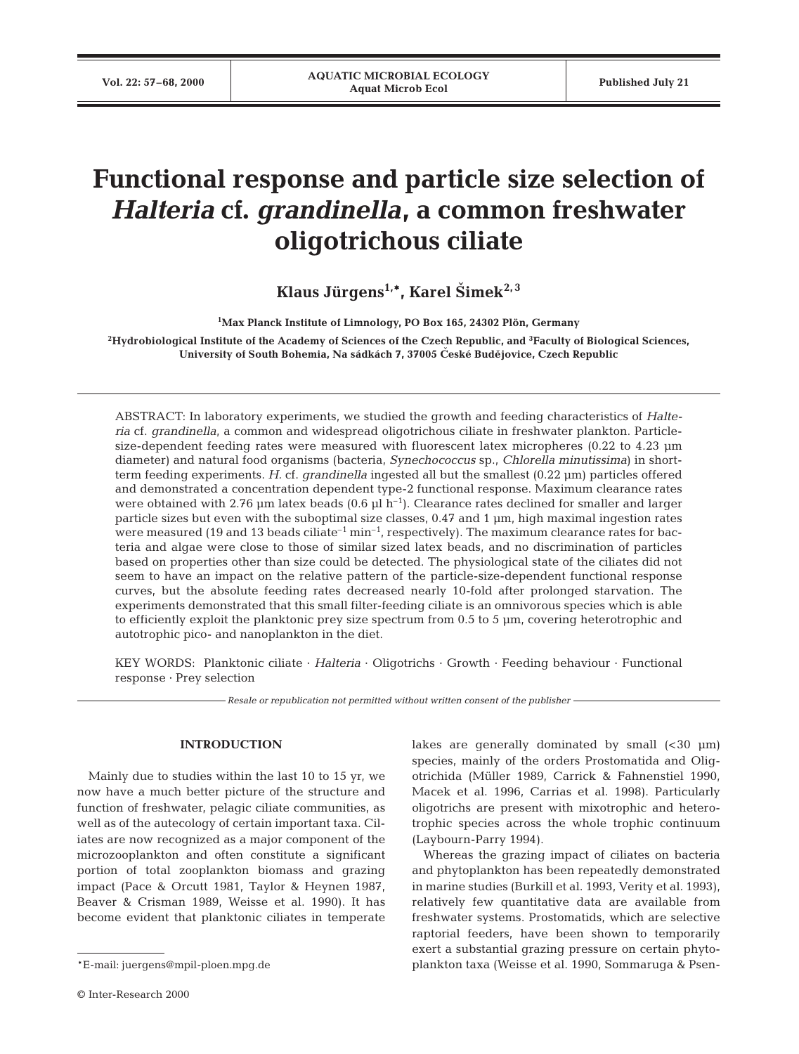# **Functional response and particle size selection of** *Halteria* **cf.** *grandinella***, a common freshwater oligotrichous ciliate**

Klaus Jürgens<sup>1,\*</sup>, Karel Šimek<sup>2,3</sup>

**1 Max Planck Institute of Limnology, PO Box 165, 24302 Plön, Germany**

**2Hydrobiological Institute of the Academy of Sciences of the Czech Republic, and 3 Faculty of Biological Sciences,**  University of South Bohemia, Na sádkách 7, 37005 České Budějovice, Czech Republic

ABSTRACT: In laboratory experiments, we studied the growth and feeding characteristics of *Halteria* cf. *grandinella*, a common and widespread oligotrichous ciliate in freshwater plankton. Particlesize-dependent feeding rates were measured with fluorescent latex micropheres (0.22 to 4.23 µm diameter) and natural food organisms (bacteria, *Synechococcus* sp., *Chlorella minutissima*) in shortterm feeding experiments. *H.* cf. *grandinella* ingested all but the smallest (0.22 µm) particles offered and demonstrated a concentration dependent type-2 functional response. Maximum clearance rates were obtained with 2.76 µm latex beads  $(0.6 \text{ µl h}^{-1})$ . Clearance rates declined for smaller and larger particle sizes but even with the suboptimal size classes, 0.47 and 1 µm, high maximal ingestion rates were measured (19 and 13 beads ciliate<sup>-1</sup> min<sup>-1</sup>, respectively). The maximum clearance rates for bacteria and algae were close to those of similar sized latex beads, and no discrimination of particles based on properties other than size could be detected. The physiological state of the ciliates did not seem to have an impact on the relative pattern of the particle-size-dependent functional response curves, but the absolute feeding rates decreased nearly 10-fold after prolonged starvation. The experiments demonstrated that this small filter-feeding ciliate is an omnivorous species which is able to efficiently exploit the planktonic prey size spectrum from 0.5 to 5 µm, covering heterotrophic and autotrophic pico- and nanoplankton in the diet.

KEY WORDS: Planktonic ciliate · *Halteria* · Oligotrichs · Growth · Feeding behaviour · Functional response · Prey selection

*Resale or republication not permitted without written consent of the publisher*

# **INTRODUCTION**

Mainly due to studies within the last 10 to 15 yr, we now have a much better picture of the structure and function of freshwater, pelagic ciliate communities, as well as of the autecology of certain important taxa. Ciliates are now recognized as a major component of the microzooplankton and often constitute a significant portion of total zooplankton biomass and grazing impact (Pace & Orcutt 1981, Taylor & Heynen 1987, Beaver & Crisman 1989, Weisse et al. 1990). It has become evident that planktonic ciliates in temperate

lakes are generally dominated by small  $( $30 \mu m$ )$ species, mainly of the orders Prostomatida and Oligotrichida (Müller 1989, Carrick & Fahnenstiel 1990, Macek et al. 1996, Carrias et al. 1998). Particularly oligotrichs are present with mixotrophic and heterotrophic species across the whole trophic continuum (Laybourn-Parry 1994).

Whereas the grazing impact of ciliates on bacteria and phytoplankton has been repeatedly demonstrated in marine studies (Burkill et al. 1993, Verity et al. 1993), relatively few quantitative data are available from freshwater systems. Prostomatids, which are selective raptorial feeders, have been shown to temporarily exert a substantial grazing pressure on certain phytoplankton taxa (Weisse et al. 1990, Sommaruga & Psen-

<sup>\*</sup>E-mail: juergens@mpil-ploen.mpg.de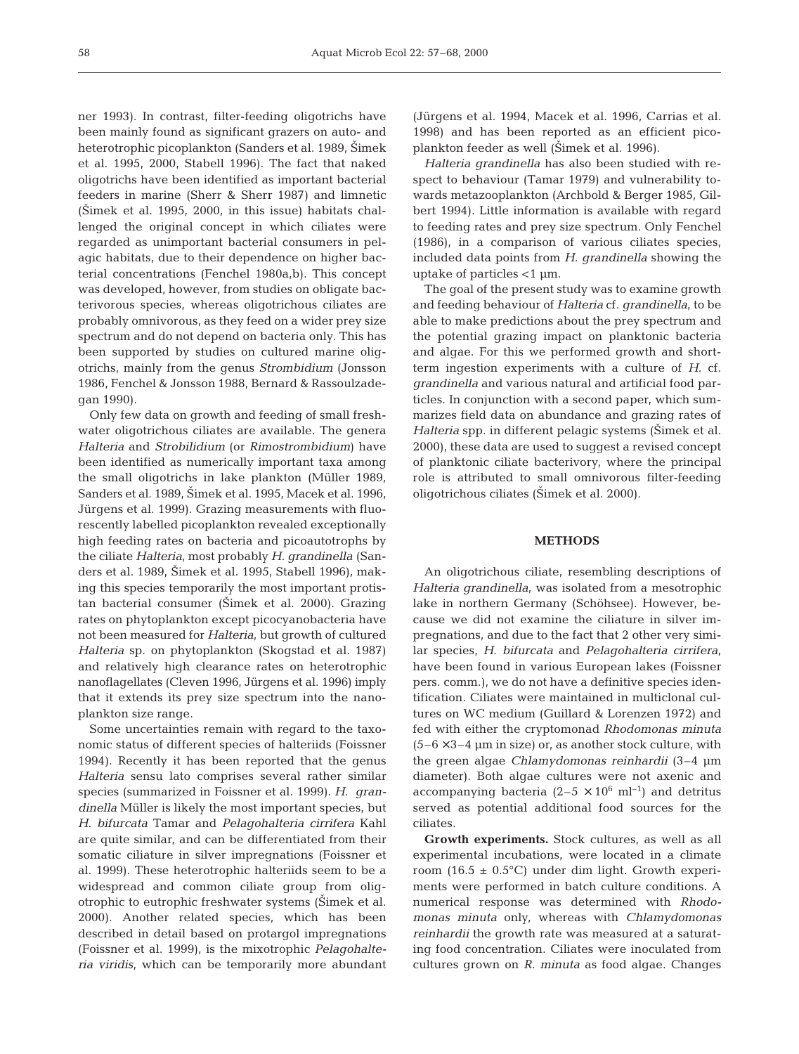ner 1993). In contrast, filter-feeding oligotrichs have been mainly found as significant grazers on auto- and heterotrophic picoplankton (Sanders et al. 1989, Šimek et al. 1995, 2000, Stabell 1996). The fact that naked oligotrichs have been identified as important bacterial feeders in marine (Sherr & Sherr 1987) and limnetic  $(\text{Simek et al. 1995, 2000, in this issue})$  habitats challenged the original concept in which ciliates were regarded as unimportant bacterial consumers in pelagic habitats, due to their dependence on higher bacterial concentrations (Fenchel 1980a,b). This concept was developed, however, from studies on obligate bacterivorous species, whereas oligotrichous ciliates are probably omnivorous, as they feed on a wider prey size spectrum and do not depend on bacteria only. This has been supported by studies on cultured marine oligotrichs, mainly from the genus *Strombidium* (Jonsson 1986, Fenchel & Jonsson 1988, Bernard & Rassoulzadegan 1990).

Only few data on growth and feeding of small freshwater oligotrichous ciliates are available. The genera *Halteria* and *Strobilidium* (or *Rimostrombidium*) have been identified as numerically important taxa among the small oligotrichs in lake plankton (Müller 1989, Sanders et al. 1989, Šimek et al. 1995, Macek et al. 1996, Jürgens et al. 1999). Grazing measurements with fluorescently labelled picoplankton revealed exceptionally high feeding rates on bacteria and picoautotrophs by the ciliate *Halteria*, most probably *H. grandinella* (Sanders et al. 1989, Šimek et al. 1995, Stabell 1996), making this species temporarily the most important protistan bacterial consumer (Simek et al. 2000). Grazing rates on phytoplankton except picocyanobacteria have not been measured for *Halteria,* but growth of cultured *Halteria* sp. on phytoplankton (Skogstad et al. 1987) and relatively high clearance rates on heterotrophic nanoflagellates (Cleven 1996, Jürgens et al. 1996) imply that it extends its prey size spectrum into the nanoplankton size range.

Some uncertainties remain with regard to the taxonomic status of different species of halteriids (Foissner 1994). Recently it has been reported that the genus *Halteria* sensu lato comprises several rather similar species (summarized in Foissner et al. 1999). *H*. *grandinella* Müller is likely the most important species, but *H. bifurcata* Tamar and *Pelagohalteria cirrifera* Kahl are quite similar, and can be differentiated from their somatic ciliature in silver impregnations (Foissner et al. 1999). These heterotrophic halteriids seem to be a widespread and common ciliate group from oligotrophic to eutrophic freshwater systems (Simek et al. 2000). Another related species, which has been described in detail based on protargol impregnations (Foissner et al. 1999), is the mixotrophic *Pelagohalteria viridis*, which can be temporarily more abundant

(Jürgens et al. 1994, Macek et al. 1996, Carrias et al. 1998) and has been reported as an efficient picoplankton feeder as well (Simek et al. 1996).

*Halteria grandinella* has also been studied with respect to behaviour (Tamar 1979) and vulnerability towards metazooplankton (Archbold & Berger 1985, Gilbert 1994). Little information is available with regard to feeding rates and prey size spectrum. Only Fenchel (1986), in a comparison of various ciliates species, included data points from *H. grandinella* showing the uptake of particles <1 µm.

The goal of the present study was to examine growth and feeding behaviour of *Halteria* cf. *grandinella*, to be able to make predictions about the prey spectrum and the potential grazing impact on planktonic bacteria and algae. For this we performed growth and shortterm ingestion experiments with a culture of *H.* cf. *grandinella* and various natural and artificial food particles. In conjunction with a second paper, which summarizes field data on abundance and grazing rates of *Halteria* spp. in different pelagic systems (Simek et al. 2000), these data are used to suggest a revised concept of planktonic ciliate bacterivory, where the principal role is attributed to small omnivorous filter-feeding oligotrichous ciliates (Šimek et al. 2000).

## **METHODS**

An oligotrichous ciliate*,* resembling descriptions of *Halteria grandinella,* was isolated from a mesotrophic lake in northern Germany (Schöhsee). However, because we did not examine the ciliature in silver impregnations, and due to the fact that 2 other very similar species, *H. bifurcata* and *Pelagohalteria cirrifera*, have been found in various European lakes (Foissner pers. comm.), we do not have a definitive species identification. Ciliates were maintained in multiclonal cultures on WC medium (Guillard & Lorenzen 1972) and fed with either the cryptomonad *Rhodomonas minuta*  $(5-6 \times 3-4 \mu m)$  in size) or, as another stock culture, with the green algae *Chlamydomonas reinhardii* (3–4 µm diameter). Both algae cultures were not axenic and accompanying bacteria  $(2-5 \times 10^6 \text{ ml}^{-1})$  and detritus served as potential additional food sources for the ciliates.

**Growth experiments.** Stock cultures, as well as all experimental incubations, were located in a climate room (16.5  $\pm$  0.5°C) under dim light. Growth experiments were performed in batch culture conditions. A numerical response was determined with *Rhodomonas minuta* only, whereas with *Chlamydomonas reinhardii* the growth rate was measured at a saturating food concentration. Ciliates were inoculated from cultures grown on *R. minuta* as food algae. Changes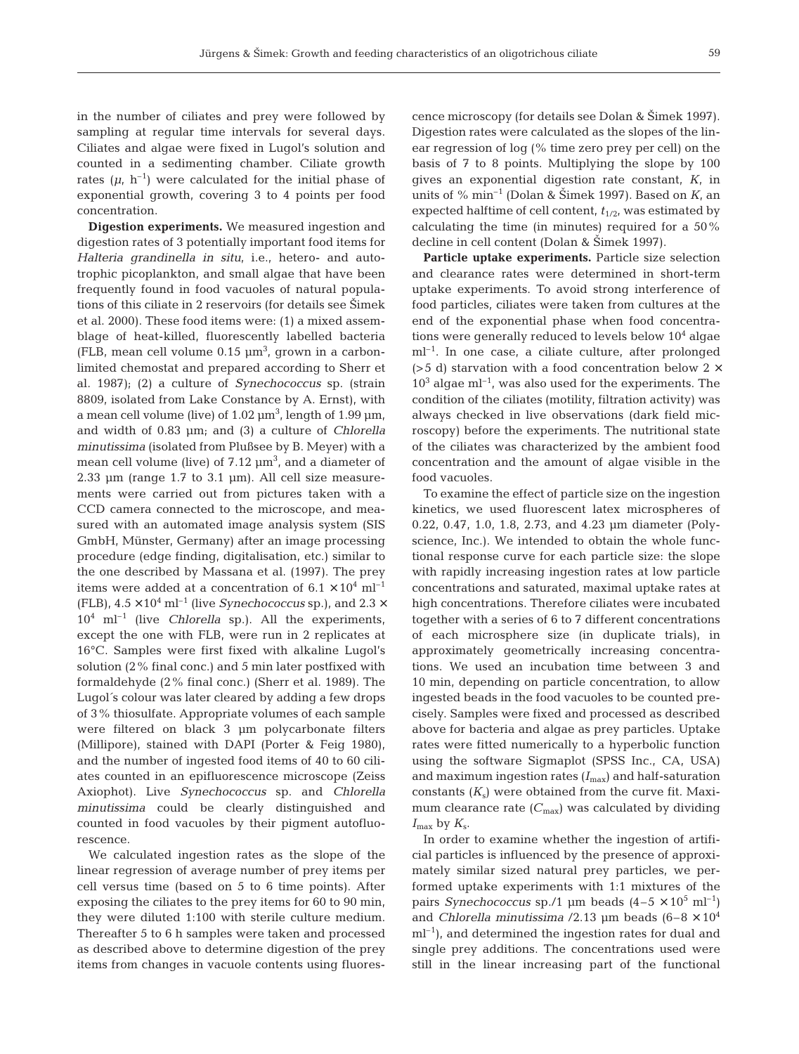in the number of ciliates and prey were followed by sampling at regular time intervals for several days. Ciliates and algae were fixed in Lugol's solution and counted in a sedimenting chamber. Ciliate growth rates  $(\mu, h^{-1})$  were calculated for the initial phase of exponential growth, covering 3 to 4 points per food concentration.

**Digestion experiments.** We measured ingestion and digestion rates of 3 potentially important food items for *Halteria grandinella in situ*, i.e., hetero- and autotrophic picoplankton, and small algae that have been frequently found in food vacuoles of natural populations of this ciliate in 2 reservoirs (for details see Stimek et al. 2000). These food items were: (1) a mixed assemblage of heat-killed, fluorescently labelled bacteria (FLB, mean cell volume  $0.15 \mu m^3$ , grown in a carbonlimited chemostat and prepared according to Sherr et al. 1987); (2) a culture of *Synechococcus* sp. (strain 8809, isolated from Lake Constance by A. Ernst), with a mean cell volume (live) of 1.02  $\mu$ m $^3$ , length of 1.99  $\mu$ m, and width of 0.83 µm; and (3) a culture of *Chlorella minutissima* (isolated from Plußsee by B. Meyer) with a mean cell volume (live) of  $7.12 \text{ }\mu\text{m}^3$ , and a diameter of  $2.33 \mu m$  (range  $1.7 \text{ to } 3.1 \mu m$ ). All cell size measurements were carried out from pictures taken with a CCD camera connected to the microscope, and measured with an automated image analysis system (SIS GmbH, Münster, Germany) after an image processing procedure (edge finding, digitalisation, etc.) similar to the one described by Massana et al. (1997). The prey items were added at a concentration of  $6.1 \times 10^4$  ml<sup>-1</sup> (FLB),  $4.5 \times 10^4$  ml<sup>-1</sup> (live *Synechococcus* sp.), and  $2.3 \times$ 104 ml–1 (live *Chlorella* sp.). All the experiments, except the one with FLB, were run in 2 replicates at 16°C. Samples were first fixed with alkaline Lugol's solution (2% final conc.) and 5 min later postfixed with formaldehyde (2% final conc.) (Sherr et al. 1989). The Lugol´s colour was later cleared by adding a few drops of 3% thiosulfate. Appropriate volumes of each sample were filtered on black 3 µm polycarbonate filters (Millipore), stained with DAPI (Porter & Feig 1980), and the number of ingested food items of 40 to 60 ciliates counted in an epifluorescence microscope (Zeiss Axiophot). Live *Synechococcus* sp. and *Chlorella minutissima* could be clearly distinguished and counted in food vacuoles by their pigment autofluorescence.

We calculated ingestion rates as the slope of the linear regression of average number of prey items per cell versus time (based on 5 to 6 time points). After exposing the ciliates to the prey items for 60 to 90 min, they were diluted 1:100 with sterile culture medium. Thereafter 5 to 6 h samples were taken and processed as described above to determine digestion of the prey items from changes in vacuole contents using fluorescence microscopy (for details see Dolan & Šimek 1997). Digestion rates were calculated as the slopes of the linear regression of log (% time zero prey per cell) on the basis of 7 to 8 points. Multiplying the slope by 100 gives an exponential digestion rate constant, *K*, in units of  $\%$  min<sup>-1</sup> (Dolan & Šimek 1997). Based on  $K$ , an expected halftime of cell content,  $t_{1/2}$ , was estimated by calculating the time (in minutes) required for a 50% decline in cell content (Dolan & Šimek 1997).

Particle uptake experiments. Particle size selection and clearance rates were determined in short-term uptake experiments. To avoid strong interference of food particles, ciliates were taken from cultures at the end of the exponential phase when food concentrations were generally reduced to levels below  $10^4$  algae ml–1. In one case, a ciliate culture, after prolonged ( $>5$  d) starvation with a food concentration below 2  $\times$  $10<sup>3</sup>$  algae ml<sup>-1</sup>, was also used for the experiments. The condition of the ciliates (motility, filtration activity) was always checked in live observations (dark field microscopy) before the experiments. The nutritional state of the ciliates was characterized by the ambient food concentration and the amount of algae visible in the food vacuoles.

To examine the effect of particle size on the ingestion kinetics, we used fluorescent latex microspheres of 0.22, 0.47, 1.0, 1.8, 2.73, and 4.23 µm diameter (Polyscience, Inc.). We intended to obtain the whole functional response curve for each particle size: the slope with rapidly increasing ingestion rates at low particle concentrations and saturated, maximal uptake rates at high concentrations. Therefore ciliates were incubated together with a series of 6 to 7 different concentrations of each microsphere size (in duplicate trials), in approximately geometrically increasing concentrations. We used an incubation time between 3 and 10 min, depending on particle concentration, to allow ingested beads in the food vacuoles to be counted precisely. Samples were fixed and processed as described above for bacteria and algae as prey particles. Uptake rates were fitted numerically to a hyperbolic function using the software Sigmaplot (SPSS Inc., CA, USA) and maximum ingestion rates  $(I_{\rm max})$  and half-saturation constants  $(K<sub>s</sub>)$  were obtained from the curve fit. Maximum clearance rate  $(C_{\text{max}})$  was calculated by dividing *I*max by *K*s.

In order to examine whether the ingestion of artificial particles is influenced by the presence of approximately similar sized natural prey particles, we performed uptake experiments with 1:1 mixtures of the pairs *Synechococcus* sp./1 µm beads  $(4-5 \times 10^5 \text{ ml}^{-1})$ and *Chlorella minutissima* /2.13  $\mu$ m beads (6-8  $\times$  10<sup>4</sup>  $ml<sup>-1</sup>$ , and determined the ingestion rates for dual and single prey additions. The concentrations used were still in the linear increasing part of the functional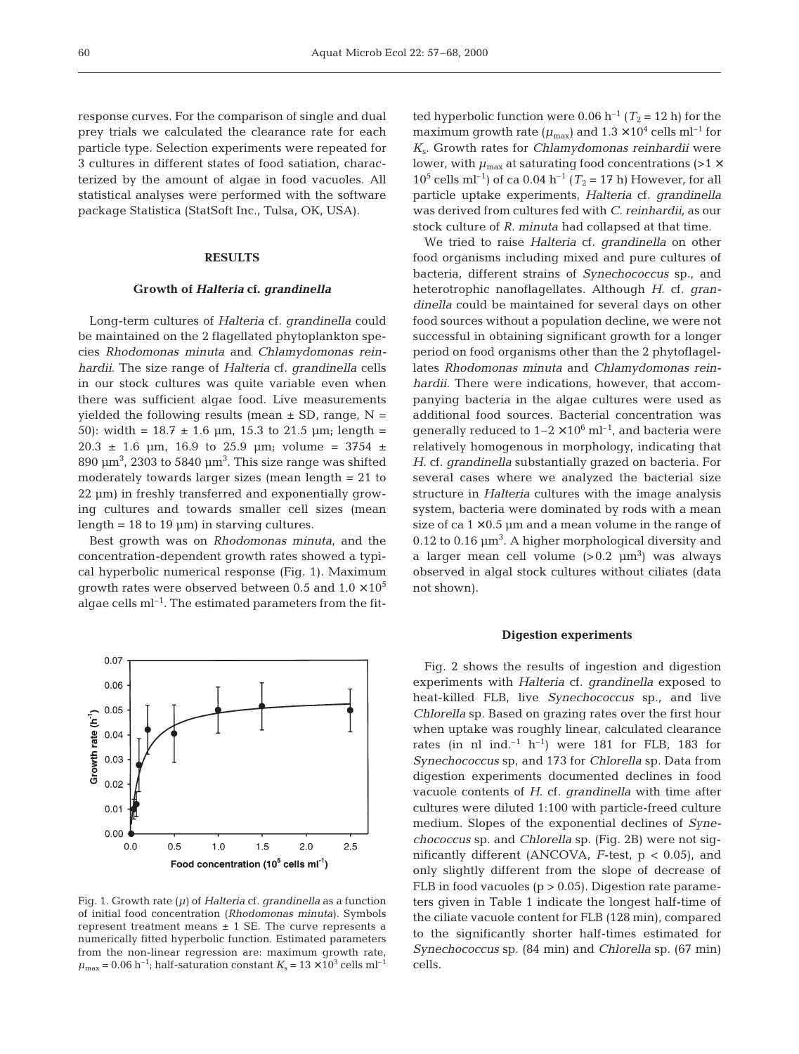response curves. For the comparison of single and dual prey trials we calculated the clearance rate for each particle type. Selection experiments were repeated for 3 cultures in different states of food satiation, characterized by the amount of algae in food vacuoles. All statistical analyses were performed with the software package Statistica (StatSoft Inc., Tulsa, OK, USA).

## **RESULTS**

## **Growth of** *Halteria* **cf.** *grandinella*

Long-term cultures of *Halteria* cf. *grandinella* could be maintained on the 2 flagellated phytoplankton species *Rhodomonas minuta* and *Chlamydomonas reinhardii*. The size range of *Halteria* cf. *grandinella* cells in our stock cultures was quite variable even when there was sufficient algae food. Live measurements yielded the following results (mean  $\pm$  SD, range, N = 50): width =  $18.7 \pm 1.6$  µm, 15.3 to 21.5 µm; length =  $20.3 \pm 1.6$  µm, 16.9 to 25.9 µm; volume = 3754  $\pm$ 890  $\mu$ m<sup>3</sup>, 2303 to 5840  $\mu$ m<sup>3</sup>. This size range was shifted moderately towards larger sizes (mean length = 21 to 22 µm) in freshly transferred and exponentially growing cultures and towards smaller cell sizes (mean length =  $18$  to  $19 \mu m$ ) in starving cultures.

Best growth was on *Rhodomonas minuta,* and the concentration-dependent growth rates showed a typical hyperbolic numerical response (Fig. 1). Maximum growth rates were observed between 0.5 and  $1.0 \times 10^5$ algae cells  $ml<sup>-1</sup>$ . The estimated parameters from the fit-



Fig. 1. Growth rate *(µ)* of *Halteria* cf. *grandinella* as a function of initial food concentration (*Rhodomonas minuta*). Symbols represent treatment means  $\pm$  1 SE. The curve represents a numerically fitted hyperbolic function. Estimated parameters from the non-linear regression are: maximum growth rate,  $\mu_{\text{max}} = 0.06 \text{ h}^{-1}$ ; half-saturation constant  $K_s = 13 \times 10^3 \text{ cells m}^{-1}$ 

ted hyperbolic function were 0.06 h<sup>-1</sup> ( $T_2$  = 12 h) for the maximum growth rate ( $\mu_{\text{max}}$ ) and  $1.3 \times 10^4$  cells ml<sup>-1</sup> for *K*s. Growth rates for *Chlamydomonas reinhardii* were lower, with  $\mu_{\text{max}}$  at saturating food concentrations (>1  $\times$  $10^5$  cells ml<sup>-1</sup>) of ca 0.04 h<sup>-1</sup> ( $T_2$  = 17 h) However, for all particle uptake experiments, *Halteria* cf. *grandinella* was derived from cultures fed with *C. reinhardii*, as our stock culture of *R. minuta* had collapsed at that time.

We tried to raise *Halteria* cf. *grandinella* on other food organisms including mixed and pure cultures of bacteria, different strains of *Synechococcus* sp., and heterotrophic nanoflagellates. Although *H.* cf. *grandinella* could be maintained for several days on other food sources without a population decline, we were not successful in obtaining significant growth for a longer period on food organisms other than the 2 phytoflagellates *Rhodomonas minuta* and *Chlamydomonas reinhardii*. There were indications, however, that accompanying bacteria in the algae cultures were used as additional food sources. Bacterial concentration was generally reduced to  $1-2 \times 10^6$  ml<sup>-1</sup>, and bacteria were relatively homogenous in morphology, indicating that *H.* cf. *grandinella* substantially grazed on bacteria. For several cases where we analyzed the bacterial size structure in *Halteria* cultures with the image analysis system, bacteria were dominated by rods with a mean size of ca  $1 \times 0.5$  µm and a mean volume in the range of  $0.12$  to  $0.16$   $\mu$ m<sup>3</sup>. A higher morphological diversity and a larger mean cell volume  $(>0.2 \,\,\mu \mathrm{m}^3)$  was always observed in algal stock cultures without ciliates (data not shown).

#### **Digestion experiments**

Fig. 2 shows the results of ingestion and digestion experiments with *Halteria* cf. *grandinella* exposed to heat-killed FLB, live *Synechococcus* sp., and live *Chlorella* sp. Based on grazing rates over the first hour when uptake was roughly linear, calculated clearance rates (in nl ind.<sup>-1</sup> h<sup>-1</sup>) were 181 for FLB, 183 for *Synechococcus* sp, and 173 for *Chlorella* sp. Data from digestion experiments documented declines in food vacuole contents of *H.* cf. *grandinella* with time after cultures were diluted 1:100 with particle-freed culture medium. Slopes of the exponential declines of *Synechococcus* sp. and *Chlorella* sp. (Fig. 2B) were not significantly different (ANCOVA, *F*-test, p < 0.05), and only slightly different from the slope of decrease of FLB in food vacuoles  $(p > 0.05)$ . Digestion rate parameters given in Table 1 indicate the longest half-time of the ciliate vacuole content for FLB (128 min), compared to the significantly shorter half-times estimated for *Synechococcus* sp. (84 min) and *Chlorella* sp. (67 min) cells.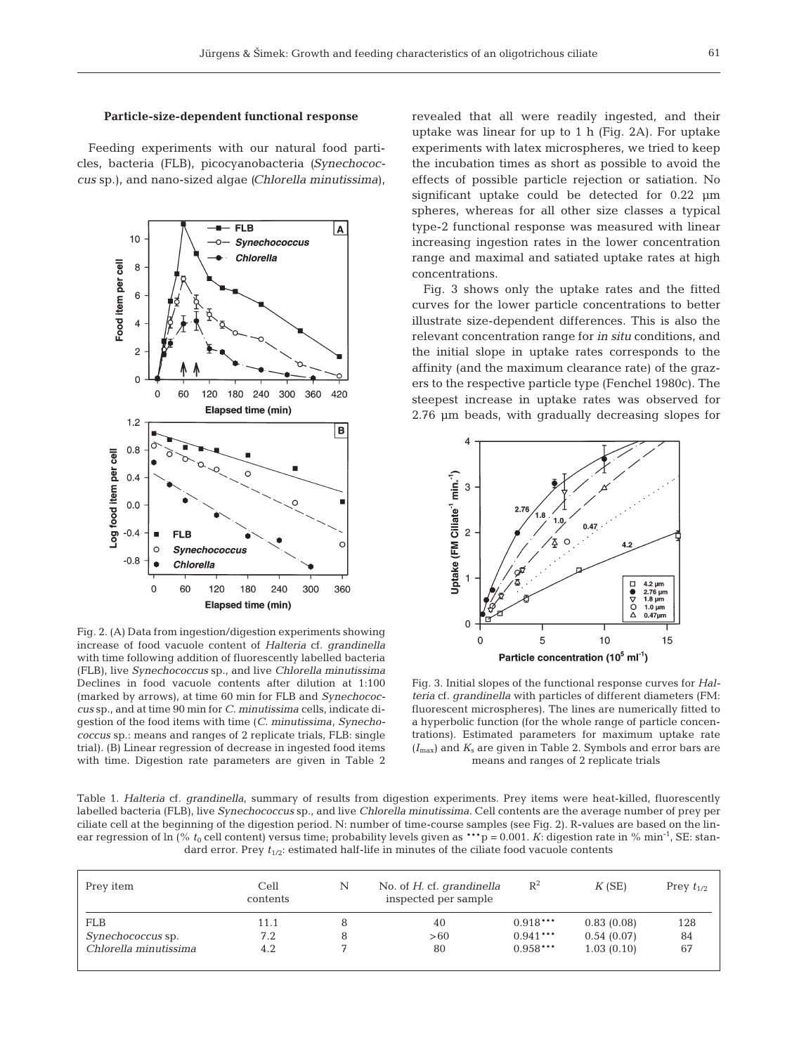# **Particle-size-dependent functional response**

Feeding experiments with our natural food particles, bacteria (FLB), picocyanobacteria *(Synechococcus* sp.), and nano-sized algae *(Chlorella minutissima*),



Fig. 2. (A) Data from ingestion/digestion experiments showing increase of food vacuole content of *Halteria* cf. *grandinella* with time following addition of fluorescently labelled bacteria (FLB), live *Synechococcus* sp., and live *Chlorella minutissima* Declines in food vacuole contents after dilution at 1:100 (marked by arrows), at time 60 min for FLB and *Synechococcus* sp., and at time 90 min for *C. minutissima* cells, indicate digestion of the food items with time (*C. minutissima*, *Synechococcus* sp.: means and ranges of 2 replicate trials, FLB: single trial). (B) Linear regression of decrease in ingested food items with time. Digestion rate parameters are given in Table 2

revealed that all were readily ingested, and their uptake was linear for up to 1 h (Fig. 2A). For uptake experiments with latex microspheres, we tried to keep the incubation times as short as possible to avoid the effects of possible particle rejection or satiation. No significant uptake could be detected for 0.22 µm spheres, whereas for all other size classes a typical type-2 functional response was measured with linear increasing ingestion rates in the lower concentration range and maximal and satiated uptake rates at high concentrations.

Fig. 3 shows only the uptake rates and the fitted curves for the lower particle concentrations to better illustrate size-dependent differences. This is also the relevant concentration range for *in situ* conditions, and the initial slope in uptake rates corresponds to the affinity (and the maximum clearance rate) of the grazers to the respective particle type (Fenchel 1980c). The steepest increase in uptake rates was observed for 2.76 µm beads, with gradually decreasing slopes for



Fig. 3. Initial slopes of the functional response curves for *Halteria* cf. *grandinella* with particles of different diameters (FM: fluorescent microspheres). The lines are numerically fitted to a hyperbolic function (for the whole range of particle concentrations). Estimated parameters for maximum uptake rate (*I*max) and *K*<sup>s</sup> are given in Table 2. Symbols and error bars are means and ranges of 2 replicate trials

Table 1. *Halteria* cf*. grandinella*, summary of results from digestion experiments. Prey items were heat-killed, fluorescently labelled bacteria (FLB), live *Synechococcus* sp., and live *Chlorella minutissima.* Cell contents are the average number of prey per ciliate cell at the beginning of the digestion period. N: number of time-course samples (see Fig. 2). R-values are based on the linear regression of ln (%  $t_0$  cell content) versus time; probability levels given as \*\*\*p = 0.001. *K*: digestion rate in % min<sup>-1</sup>, SE: standard error. Prey  $t_{1/2}$ : estimated half-life in minutes of the ciliate food vacuole contents

| Prey item                | Cell<br>contents | Ν | No. of H. cf. grandinella<br>inspected per sample | $\mathbb{R}^2$ | K(SE)      | Prey $t_{1/2}$ |
|--------------------------|------------------|---|---------------------------------------------------|----------------|------------|----------------|
| <b>FLB</b>               | 11.1             |   | 40                                                | $0.918***$     | 0.83(0.08) | 128            |
| <i>Synechococcus</i> sp. | 7.2              |   | >60                                               | $0.941***$     | 0.54(0.07) | 84             |
| Chlorella minutissima    | 4.2              |   | 80                                                | $0.958***$     | 1.03(0.10) | 67             |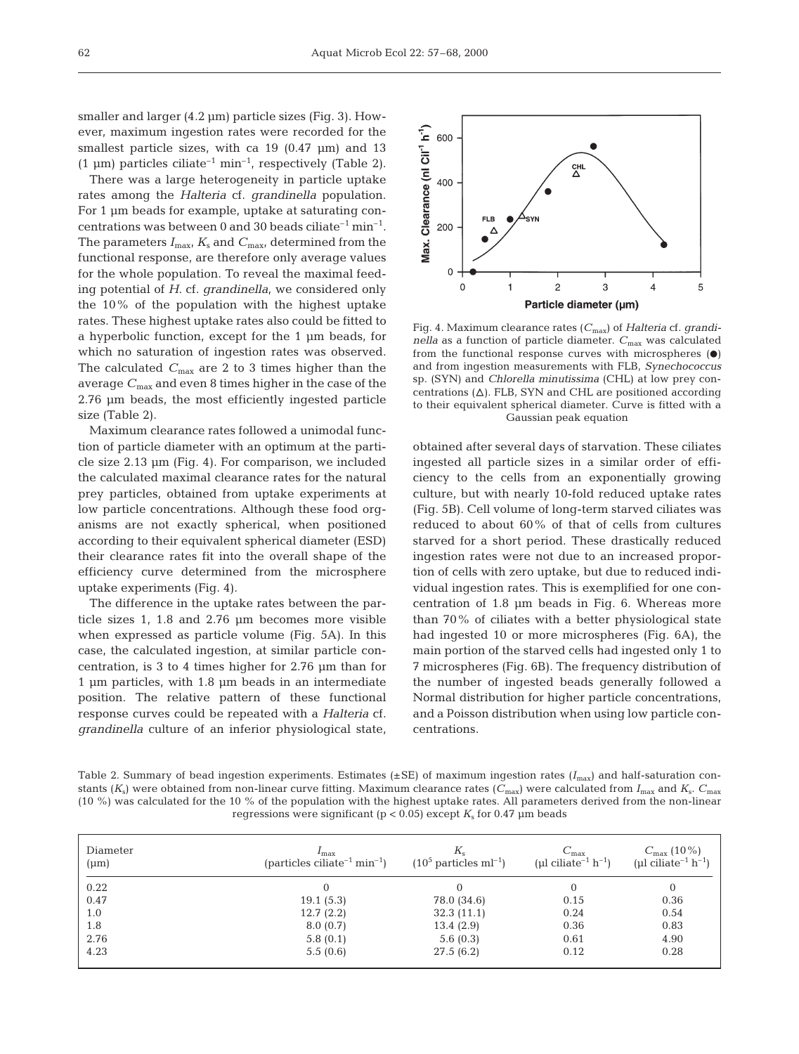smaller and larger (4.2 µm) particle sizes (Fig. 3). However, maximum ingestion rates were recorded for the smallest particle sizes, with ca 19 (0.47 µm) and 13 (1 µm) particles ciliate<sup>-1</sup> min<sup>-1</sup>, respectively (Table 2).

There was a large heterogeneity in particle uptake rates among the *Halteria* cf. *grandinella* population. For 1 µm beads for example, uptake at saturating concentrations was between 0 and 30 beads ciliate<sup>-1</sup> min<sup>-1</sup>. The parameters  $I_{\text{max}}$ ,  $K_s$  and  $C_{\text{max}}$ , determined from the functional response, are therefore only average values for the whole population. To reveal the maximal feeding potential of *H.* cf. *grandinella*, we considered only the 10% of the population with the highest uptake rates. These highest uptake rates also could be fitted to a hyperbolic function, except for the 1 µm beads, for which no saturation of ingestion rates was observed. The calculated *C*max are 2 to 3 times higher than the average *C*max and even 8 times higher in the case of the 2.76 µm beads, the most efficiently ingested particle size (Table 2).

Maximum clearance rates followed a unimodal function of particle diameter with an optimum at the particle size 2.13 µm (Fig. 4). For comparison, we included the calculated maximal clearance rates for the natural prey particles, obtained from uptake experiments at low particle concentrations. Although these food organisms are not exactly spherical, when positioned according to their equivalent spherical diameter (ESD) their clearance rates fit into the overall shape of the efficiency curve determined from the microsphere uptake experiments (Fig. 4).

The difference in the uptake rates between the particle sizes 1, 1.8 and 2.76 µm becomes more visible when expressed as particle volume (Fig. 5A). In this case, the calculated ingestion, at similar particle concentration, is 3 to 4 times higher for 2.76 µm than for 1 µm particles, with 1.8 µm beads in an intermediate position. The relative pattern of these functional response curves could be repeated with a *Halteria* cf. *grandinella* culture of an inferior physiological state,



Fig. 4. Maximum clearance rates (*C*max) of *Halteria* cf. *grandinella* as a function of particle diameter.  $C_{\text{max}}$  was calculated from the functional response curves with microspheres  $\left( \bullet \right)$ and from ingestion measurements with FLB, *Synechococcus* sp. (SYN) and *Chlorella minutissima* (CHL) at low prey concentrations  $(\Delta)$ . FLB, SYN and CHL are positioned according to their equivalent spherical diameter. Curve is fitted with a Gaussian peak equation

obtained after several days of starvation. These ciliates ingested all particle sizes in a similar order of efficiency to the cells from an exponentially growing culture, but with nearly 10-fold reduced uptake rates (Fig. 5B). Cell volume of long-term starved ciliates was reduced to about 60% of that of cells from cultures starved for a short period. These drastically reduced ingestion rates were not due to an increased proportion of cells with zero uptake, but due to reduced individual ingestion rates. This is exemplified for one concentration of 1.8 µm beads in Fig. 6. Whereas more than 70% of ciliates with a better physiological state had ingested 10 or more microspheres (Fig. 6A), the main portion of the starved cells had ingested only 1 to 7 microspheres (Fig. 6B). The frequency distribution of the number of ingested beads generally followed a Normal distribution for higher particle concentrations, and a Poisson distribution when using low particle concentrations.

Table 2. Summary of bead ingestion experiments. Estimates ( $\pm$ SE) of maximum ingestion rates ( $I_{\text{max}}$ ) and half-saturation constants (*K*s) were obtained from non-linear curve fitting. Maximum clearance rates (*C*max) were calculated from *I*max and *K*s. *C*max (10 %) was calculated for the 10 % of the population with the highest uptake rates. All parameters derived from the non-linear regressions were significant ( $p < 0.05$ ) except  $K_s$  for 0.47  $\mu$ m beads

| Diameter<br>$(\mu m)$ | $I_{\rm max}$<br>(particles ciliate <sup>-1</sup> min <sup>-1</sup> ) | $K_{\rm s}$<br>$(10^5 \text{ particles ml}^{-1})$ | $C_{\rm max}$<br>(µl ciliate <sup>-1</sup> $h^{-1}$ ) | $C_{\rm max}$ (10 %)<br>(µl ciliate <sup>-1</sup> $h^{-1}$ ) |
|-----------------------|-----------------------------------------------------------------------|---------------------------------------------------|-------------------------------------------------------|--------------------------------------------------------------|
| 0.22                  |                                                                       |                                                   |                                                       |                                                              |
| 0.47                  | 19.1(5.3)                                                             | 78.0 (34.6)                                       | 0.15                                                  | 0.36                                                         |
| 1.0                   | 12.7(2.2)                                                             | 32.3(11.1)                                        | 0.24                                                  | 0.54                                                         |
| 1.8                   | 8.0(0.7)                                                              | 13.4(2.9)                                         | 0.36                                                  | 0.83                                                         |
| 2.76                  | 5.8(0.1)                                                              | 5.6(0.3)                                          | 0.61                                                  | 4.90                                                         |
| 4.23                  | 5.5(0.6)                                                              | 27.5(6.2)                                         | 0.12                                                  | 0.28                                                         |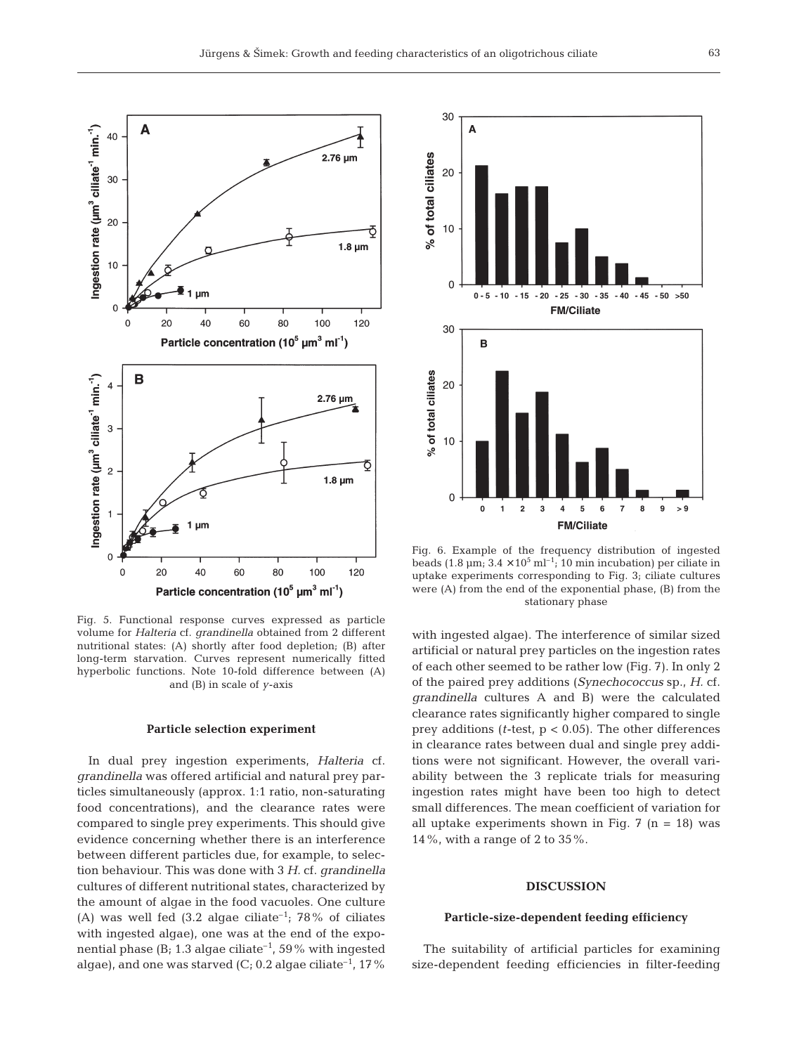

Fig. 5. Functional response curves expressed as particle volume for *Halteria* cf. *grandinella* obtained from 2 different nutritional states: (A) shortly after food depletion; (B) after long-term starvation. Curves represent numerically fitted hyperbolic functions. Note 10-fold difference between (A) and (B) in scale of *y*-axis

#### **Particle selection experiment**

In dual prey ingestion experiments, *Halteria* cf. *grandinella* was offered artificial and natural prey particles simultaneously (approx. 1:1 ratio, non-saturating food concentrations), and the clearance rates were compared to single prey experiments. This should give evidence concerning whether there is an interference between different particles due, for example, to selection behaviour. This was done with 3 *H.* cf. *grandinella* cultures of different nutritional states, characterized by the amount of algae in the food vacuoles. One culture (A) was well fed  $(3.2 \text{ algebra})$  ciliate<sup>-1</sup>; 78% of ciliates with ingested algae), one was at the end of the exponential phase (B; 1.3 algae ciliate<sup>-1</sup>, 59% with ingested algae), and one was starved  $(C; 0.2)$  algae ciliate<sup>-1</sup>, 17%



Fig. 6. Example of the frequency distribution of ingested beads (1.8  $\mu$ m; 3.4 × 10<sup>5</sup> ml<sup>-1</sup>; 10 min incubation) per ciliate in uptake experiments corresponding to Fig. 3; ciliate cultures were (A) from the end of the exponential phase, (B) from the stationary phase

with ingested algae). The interference of similar sized artificial or natural prey particles on the ingestion rates of each other seemed to be rather low (Fig. 7). In only 2 of the paired prey additions (*Synechococcus* sp., *H.* cf. *grandinella* cultures A and B) were the calculated clearance rates significantly higher compared to single prey additions (*t*-test, p < 0.05). The other differences in clearance rates between dual and single prey additions were not significant. However, the overall variability between the 3 replicate trials for measuring ingestion rates might have been too high to detect small differences. The mean coefficient of variation for all uptake experiments shown in Fig.  $7$  (n = 18) was 14%, with a range of 2 to 35%.

## **DISCUSSION**

## **Particle-size-dependent feeding efficiency**

The suitability of artificial particles for examining size-dependent feeding efficiencies in filter-feeding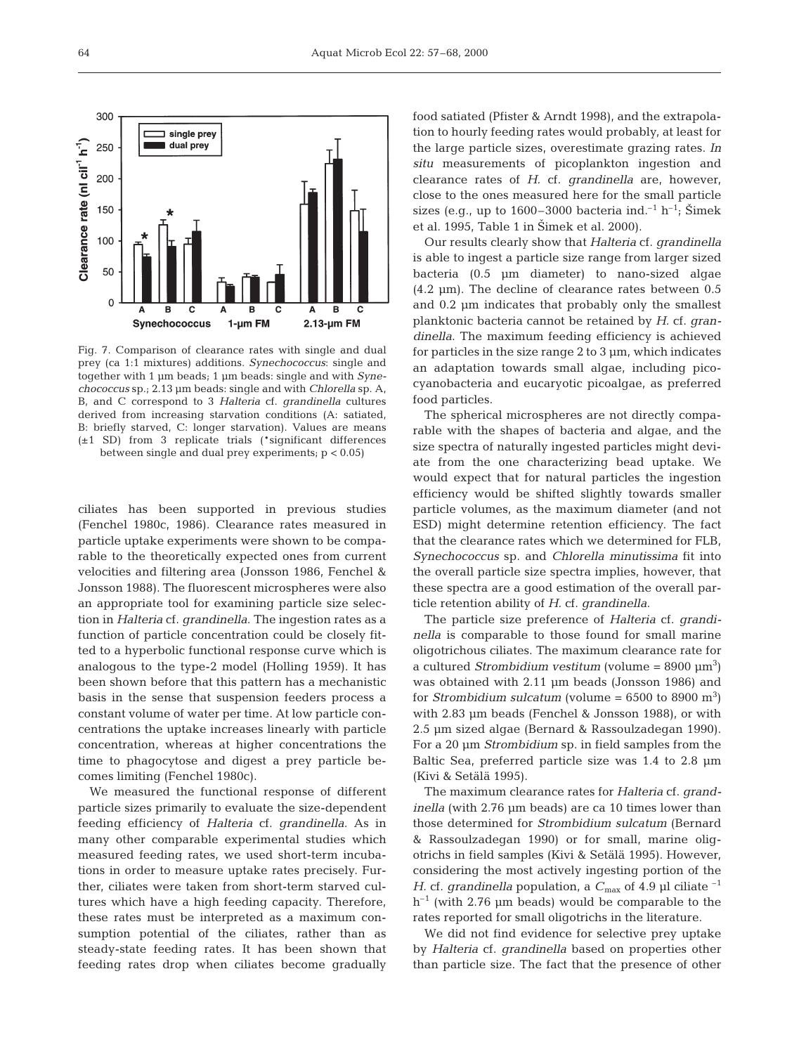

Fig. 7. Comparison of clearance rates with single and dual prey (ca 1:1 mixtures) additions. *Synechococcus*: single and together with 1 µm beads; 1 µm beads: single and with *Synechococcus* sp.; 2.13 µm beads: single and with *Chlorella* sp. A, B, and C correspond to 3 *Halteria* cf. *grandinella* cultures derived from increasing starvation conditions (A: satiated, B: briefly starved, C: longer starvation). Values are means (±1 SD) from 3 replicate trials (\*significant differences between single and dual prey experiments; p < 0.05)

ciliates has been supported in previous studies (Fenchel 1980c, 1986). Clearance rates measured in particle uptake experiments were shown to be comparable to the theoretically expected ones from current velocities and filtering area (Jonsson 1986, Fenchel & Jonsson 1988). The fluorescent microspheres were also an appropriate tool for examining particle size selection in *Halteria* cf. *grandinella*. The ingestion rates as a function of particle concentration could be closely fitted to a hyperbolic functional response curve which is analogous to the type-2 model (Holling 1959). It has been shown before that this pattern has a mechanistic basis in the sense that suspension feeders process a constant volume of water per time. At low particle concentrations the uptake increases linearly with particle concentration, whereas at higher concentrations the time to phagocytose and digest a prey particle becomes limiting (Fenchel 1980c).

We measured the functional response of different particle sizes primarily to evaluate the size-dependent feeding efficiency of *Halteria* cf. *grandinella*. As in many other comparable experimental studies which measured feeding rates, we used short-term incubations in order to measure uptake rates precisely. Further, ciliates were taken from short-term starved cultures which have a high feeding capacity. Therefore, these rates must be interpreted as a maximum consumption potential of the ciliates, rather than as steady-state feeding rates. It has been shown that feeding rates drop when ciliates become gradually food satiated (Pfister & Arndt 1998), and the extrapolation to hourly feeding rates would probably, at least for the large particle sizes, overestimate grazing rates. *In situ* measurements of picoplankton ingestion and clearance rates of *H.* cf. *grandinella* are, however, close to the ones measured here for the small particle sizes (e.g., up to 1600–3000 bacteria ind.<sup>-1</sup> h<sup>-1</sup>; Šimek et al. 1995, Table 1 in Šimek et al.  $2000$ .

Our results clearly show that *Halteria* cf. *grandinella* is able to ingest a particle size range from larger sized bacteria (0.5 µm diameter) to nano-sized algae (4.2 µm). The decline of clearance rates between 0.5 and 0.2 µm indicates that probably only the smallest planktonic bacteria cannot be retained by *H.* cf. *grandinella*. The maximum feeding efficiency is achieved for particles in the size range 2 to 3 µm, which indicates an adaptation towards small algae, including picocyanobacteria and eucaryotic picoalgae, as preferred food particles.

The spherical microspheres are not directly comparable with the shapes of bacteria and algae, and the size spectra of naturally ingested particles might deviate from the one characterizing bead uptake. We would expect that for natural particles the ingestion efficiency would be shifted slightly towards smaller particle volumes, as the maximum diameter (and not ESD) might determine retention efficiency. The fact that the clearance rates which we determined for FLB, *Synechococcus* sp. and *Chlorella minutissima* fit into the overall particle size spectra implies, however, that these spectra are a good estimation of the overall particle retention ability of *H.* cf. *grandinella*.

The particle size preference of *Halteria* cf. *grandinella* is comparable to those found for small marine oligotrichous ciliates. The maximum clearance rate for a cultured *Strombidium vestitum* (volume = 8900 µm<sup>3</sup>) was obtained with 2.11 µm beads (Jonsson 1986) and for *Strombidium sulcatum* (volume =  $6500$  to  $8900$  m<sup>3</sup>) with 2.83 µm beads (Fenchel & Jonsson 1988), or with 2.5 µm sized algae (Bernard & Rassoulzadegan 1990). For a 20 µm *Strombidium* sp. in field samples from the Baltic Sea, preferred particle size was 1.4 to 2.8 µm (Kivi & Setälä 1995).

The maximum clearance rates for *Halteria* cf. *grandinella* (with 2.76 µm beads) are ca 10 times lower than those determined for *Strombidium sulcatum* (Bernard & Rassoulzadegan 1990) or for small, marine oligotrichs in field samples (Kivi & Setälä 1995). However, considering the most actively ingesting portion of the *H.* cf. *grandinella* population, a  $C_{\text{max}}$  of 4.9 µl ciliate  $^{-1}$  $h^{-1}$  (with 2.76 µm beads) would be comparable to the rates reported for small oligotrichs in the literature.

We did not find evidence for selective prey uptake by *Halteria* cf. *grandinella* based on properties other than particle size. The fact that the presence of other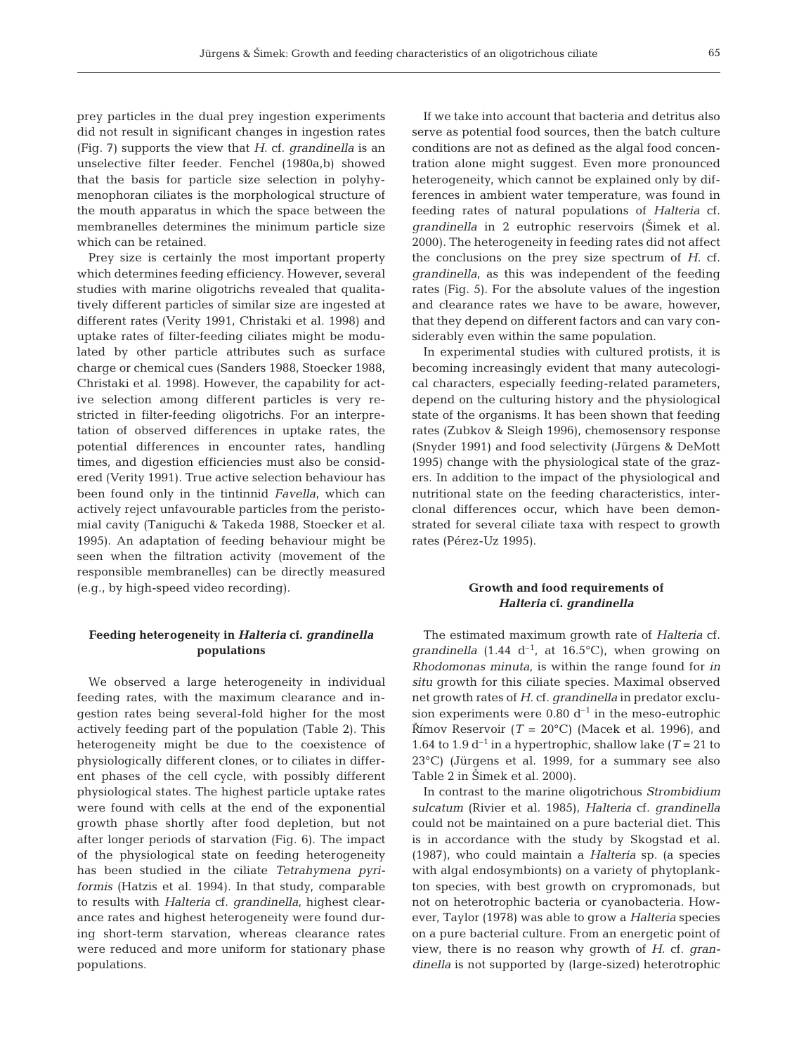prey particles in the dual prey ingestion experiments did not result in significant changes in ingestion rates (Fig. 7) supports the view that *H.* cf. *grandinella* is an unselective filter feeder. Fenchel (1980a,b) showed that the basis for particle size selection in polyhymenophoran ciliates is the morphological structure of the mouth apparatus in which the space between the membranelles determines the minimum particle size which can be retained.

Prey size is certainly the most important property which determines feeding efficiency. However, several studies with marine oligotrichs revealed that qualitatively different particles of similar size are ingested at different rates (Verity 1991, Christaki et al. 1998) and uptake rates of filter-feeding ciliates might be modulated by other particle attributes such as surface charge or chemical cues (Sanders 1988, Stoecker 1988, Christaki et al. 1998). However, the capability for active selection among different particles is very restricted in filter-feeding oligotrichs. For an interpretation of observed differences in uptake rates, the potential differences in encounter rates, handling times, and digestion efficiencies must also be considered (Verity 1991). True active selection behaviour has been found only in the tintinnid *Favella,* which can actively reject unfavourable particles from the peristomial cavity (Taniguchi & Takeda 1988, Stoecker et al. 1995). An adaptation of feeding behaviour might be seen when the filtration activity (movement of the responsible membranelles) can be directly measured (e.g., by high-speed video recording).

# **Feeding heterogeneity in** *Halteria* **cf.** *grandinella* **populations**

We observed a large heterogeneity in individual feeding rates, with the maximum clearance and ingestion rates being several-fold higher for the most actively feeding part of the population (Table 2). This heterogeneity might be due to the coexistence of physiologically different clones, or to ciliates in different phases of the cell cycle, with possibly different physiological states. The highest particle uptake rates were found with cells at the end of the exponential growth phase shortly after food depletion, but not after longer periods of starvation (Fig. 6). The impact of the physiological state on feeding heterogeneity has been studied in the ciliate *Tetrahymena pyriformis* (Hatzis et al. 1994). In that study, comparable to results with *Halteria* cf. *grandinella*, highest clearance rates and highest heterogeneity were found during short-term starvation, whereas clearance rates were reduced and more uniform for stationary phase populations.

If we take into account that bacteria and detritus also serve as potential food sources, then the batch culture conditions are not as defined as the algal food concentration alone might suggest. Even more pronounced heterogeneity, which cannot be explained only by differences in ambient water temperature, was found in feeding rates of natural populations of *Halteria* cf. *grandinella* in 2 eutrophic reservoirs (Šimek et al. 2000). The heterogeneity in feeding rates did not affect the conclusions on the prey size spectrum of *H.* cf. *grandinella*, as this was independent of the feeding rates (Fig. 5). For the absolute values of the ingestion and clearance rates we have to be aware, however, that they depend on different factors and can vary considerably even within the same population.

In experimental studies with cultured protists, it is becoming increasingly evident that many autecological characters, especially feeding-related parameters, depend on the culturing history and the physiological state of the organisms. It has been shown that feeding rates (Zubkov & Sleigh 1996), chemosensory response (Snyder 1991) and food selectivity (Jürgens & DeMott 1995) change with the physiological state of the grazers. In addition to the impact of the physiological and nutritional state on the feeding characteristics, interclonal differences occur, which have been demonstrated for several ciliate taxa with respect to growth rates (Pérez-Uz 1995).

# **Growth and food requirements of**  *Halteria* **cf.** *grandinella*

The estimated maximum growth rate of *Halteria* cf. grandinella  $(1.44 \text{ d}^{-1}, \text{ at } 16.5^{\circ}\text{C})$ , when growing on *Rhodomonas minuta*, is within the range found for *in situ* growth for this ciliate species. Maximal observed net growth rates of *H.* cf. *grandinella* in predator exclusion experiments were 0.80  $d^{-1}$  in the meso-eutrophic Římov Reservoir ( $T = 20^{\circ}$ C) (Macek et al. 1996), and 1.64 to 1.9  $d^{-1}$  in a hypertrophic, shallow lake ( $T = 21$  to 23°C) (Jürgens et al. 1999, for a summary see also Table 2 in Simek et al. 2000).

In contrast to the marine oligotrichous *Strombidium sulcatum* (Rivier et al. 1985), *Halteria* cf. *grandinella* could not be maintained on a pure bacterial diet. This is in accordance with the study by Skogstad et al. (1987), who could maintain a *Halteria* sp. (a species with algal endosymbionts) on a variety of phytoplankton species, with best growth on crypromonads, but not on heterotrophic bacteria or cyanobacteria. However, Taylor (1978) was able to grow a *Halteria* species on a pure bacterial culture. From an energetic point of view, there is no reason why growth of *H.* cf. *grandinella* is not supported by (large-sized) heterotrophic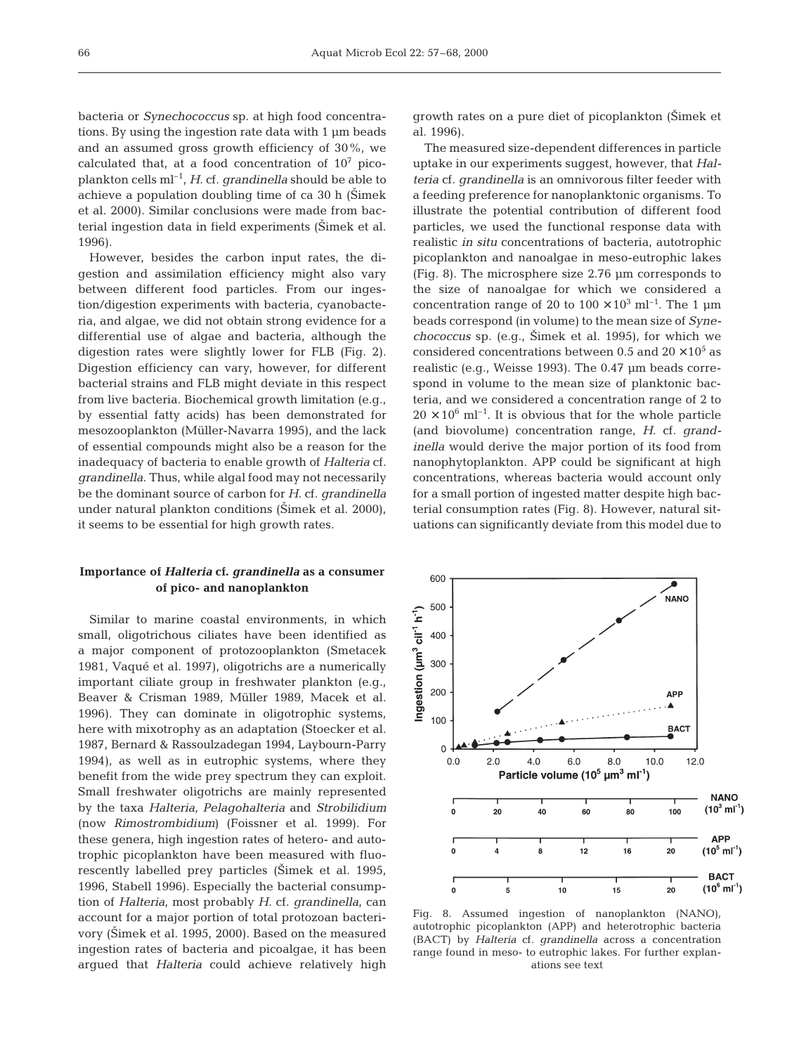bacteria or *Synechococcus* sp. at high food concentrations. By using the ingestion rate data with 1 µm beads and an assumed gross growth efficiency of 30%, we calculated that, at a food concentration of  $10<sup>7</sup>$  picoplankton cells ml–1, *H.* cf. *grandinella* should be able to achieve a population doubling time of ca  $30$  h (S $\text{timek}$ ) et al. 2000). Similar conclusions were made from bacterial ingestion data in field experiments (Šimek et al. 1996).

However, besides the carbon input rates, the digestion and assimilation efficiency might also vary between different food particles. From our ingestion/digestion experiments with bacteria, cyanobacteria, and algae, we did not obtain strong evidence for a differential use of algae and bacteria, although the digestion rates were slightly lower for FLB (Fig. 2). Digestion efficiency can vary, however, for different bacterial strains and FLB might deviate in this respect from live bacteria. Biochemical growth limitation (e.g., by essential fatty acids) has been demonstrated for mesozooplankton (Müller-Navarra 1995), and the lack of essential compounds might also be a reason for the inadequacy of bacteria to enable growth of *Halteria* cf. *grandinella*. Thus, while algal food may not necessarily be the dominant source of carbon for *H.* cf. *grandinella* under natural plankton conditions (Šimek et al. 2000), it seems to be essential for high growth rates.

# **Importance of** *Halteria* **cf.** *grandinella* **as a consumer of pico- and nanoplankton**

Similar to marine coastal environments, in which small, oligotrichous ciliates have been identified as a major component of protozooplankton (Smetacek 1981, Vaqué et al. 1997), oligotrichs are a numerically important ciliate group in freshwater plankton (e.g., Beaver & Crisman 1989, Müller 1989, Macek et al. 1996). They can dominate in oligotrophic systems, here with mixotrophy as an adaptation (Stoecker et al. 1987, Bernard & Rassoulzadegan 1994, Laybourn-Parry 1994), as well as in eutrophic systems, where they benefit from the wide prey spectrum they can exploit. Small freshwater oligotrichs are mainly represented by the taxa *Halteria, Pelagohalteria* and *Strobilidium* (now *Rimostrombidium*) (Foissner et al. 1999). For these genera, high ingestion rates of hetero- and autotrophic picoplankton have been measured with fluorescently labelled prey particles (Stimek et al. 1995, 1996, Stabell 1996). Especially the bacterial consumption of *Halteria*, most probably *H.* cf. *grandinella*, can account for a major portion of total protozoan bacterivory (Šimek et al. 1995, 2000). Based on the measured ingestion rates of bacteria and picoalgae, it has been argued that *Halteria* could achieve relatively high

growth rates on a pure diet of picoplankton (Simek et al. 1996).

The measured size-dependent differences in particle uptake in our experiments suggest, however, that *Halteria* cf. *grandinella* is an omnivorous filter feeder with a feeding preference for nanoplanktonic organisms. To illustrate the potential contribution of different food particles, we used the functional response data with realistic *in situ* concentrations of bacteria, autotrophic picoplankton and nanoalgae in meso-eutrophic lakes (Fig. 8). The microsphere size 2.76 µm corresponds to the size of nanoalgae for which we considered a concentration range of 20 to  $100 \times 10^3$  ml<sup>-1</sup>. The 1 µm beads correspond (in volume) to the mean size of *Synechococcus* sp. (e.g., Simek et al. 1995), for which we considered concentrations between 0.5 and  $20 \times 10^5$  as realistic (e.g., Weisse 1993). The 0.47 µm beads correspond in volume to the mean size of planktonic bacteria, and we considered a concentration range of 2 to  $20 \times 10^6$  ml<sup>-1</sup>. It is obvious that for the whole particle (and biovolume) concentration range, *H.* cf. *grandinella* would derive the major portion of its food from nanophytoplankton. APP could be significant at high concentrations, whereas bacteria would account only for a small portion of ingested matter despite high bacterial consumption rates (Fig. 8). However, natural situations can significantly deviate from this model due to



Fig. 8. Assumed ingestion of nanoplankton (NANO), autotrophic picoplankton (APP) and heterotrophic bacteria (BACT) by *Halteria* cf. *grandinella* across a concentration range found in meso- to eutrophic lakes. For further explanations see text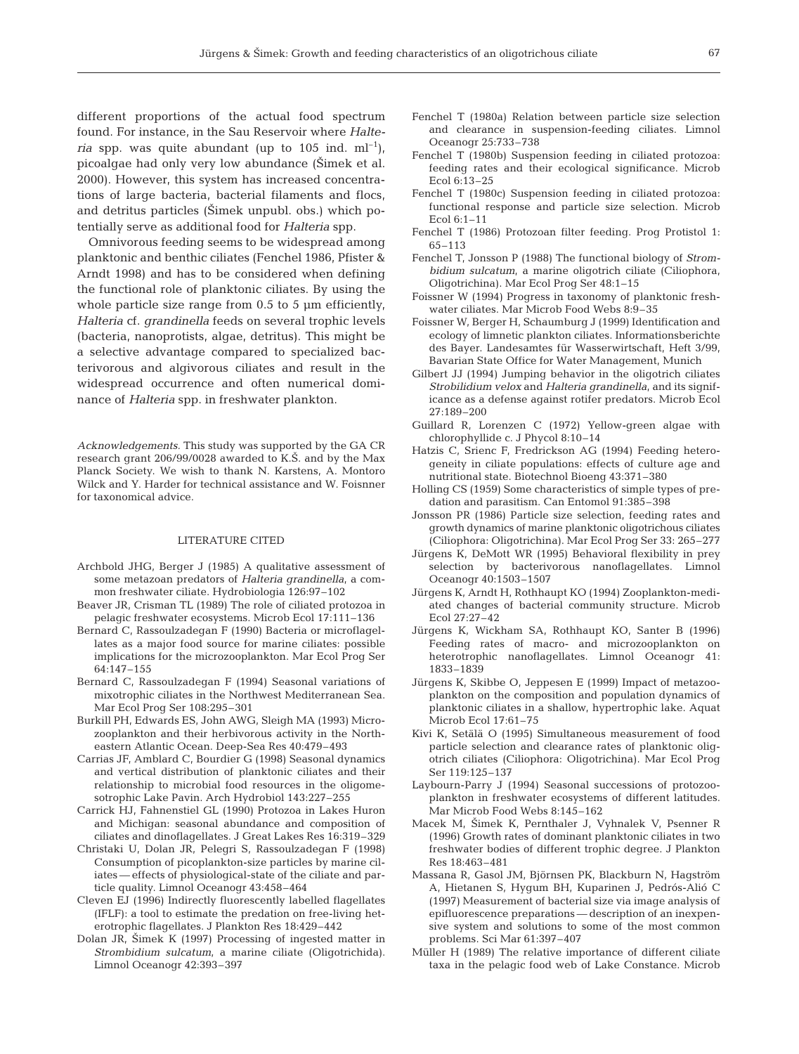different proportions of the actual food spectrum found. For instance, in the Sau Reservoir where *Halteria* spp. was quite abundant (up to 105 ind.  $ml^{-1}$ ), picoalgae had only very low abundance (Simek et al. 2000). However, this system has increased concentrations of large bacteria, bacterial filaments and flocs, and detritus particles (Stimek unpubl. obs.) which potentially serve as additional food for *Halteria* spp.

Omnivorous feeding seems to be widespread among planktonic and benthic ciliates (Fenchel 1986, Pfister & Arndt 1998) and has to be considered when defining the functional role of planktonic ciliates. By using the whole particle size range from 0.5 to 5  $\mu$ m efficiently, *Halteria* cf. *grandinella* feeds on several trophic levels (bacteria, nanoprotists, algae, detritus). This might be a selective advantage compared to specialized bacterivorous and algivorous ciliates and result in the widespread occurrence and often numerical dominance of *Halteria* spp. in freshwater plankton.

*Acknowledgements.* This study was supported by the GA CR research grant 206/99/0028 awarded to K.S. and by the Max Planck Society. We wish to thank N. Karstens, A. Montoro Wilck and Y. Harder for technical assistance and W. Foisnner for taxonomical advice.

## LITERATURE CITED

- Archbold JHG, Berger J (1985) A qualitative assessment of some metazoan predators of *Halteria grandinella*, a common freshwater ciliate. Hydrobiologia 126:97–102
- Beaver JR, Crisman TL (1989) The role of ciliated protozoa in pelagic freshwater ecosystems. Microb Ecol 17:111–136
- Bernard C, Rassoulzadegan F (1990) Bacteria or microflagellates as a major food source for marine ciliates: possible implications for the microzooplankton. Mar Ecol Prog Ser 64:147–155
- Bernard C, Rassoulzadegan F (1994) Seasonal variations of mixotrophic ciliates in the Northwest Mediterranean Sea. Mar Ecol Prog Ser 108:295–301
- Burkill PH, Edwards ES, John AWG, Sleigh MA (1993) Microzooplankton and their herbivorous activity in the Northeastern Atlantic Ocean. Deep-Sea Res 40:479–493
- Carrias JF, Amblard C, Bourdier G (1998) Seasonal dynamics and vertical distribution of planktonic ciliates and their relationship to microbial food resources in the oligomesotrophic Lake Pavin. Arch Hydrobiol 143:227–255
- Carrick HJ, Fahnenstiel GL (1990) Protozoa in Lakes Huron and Michigan: seasonal abundance and composition of ciliates and dinoflagellates. J Great Lakes Res 16:319–329
- Christaki U, Dolan JR, Pelegri S, Rassoulzadegan F (1998) Consumption of picoplankton-size particles by marine ciliates — effects of physiological-state of the ciliate and particle quality. Limnol Oceanogr 43:458–464
- Cleven EJ (1996) Indirectly fluorescently labelled flagellates (IFLF): a tool to estimate the predation on free-living heterotrophic flagellates. J Plankton Res 18:429–442
- Dolan JR, Simek K (1997) Processing of ingested matter in *Strombidium sulcatum*, a marine ciliate (Oligotrichida). Limnol Oceanogr 42:393–397
- Fenchel T (1980a) Relation between particle size selection and clearance in suspension-feeding ciliates. Limnol Oceanogr 25:733–738
- Fenchel T (1980b) Suspension feeding in ciliated protozoa: feeding rates and their ecological significance. Microb Ecol 6:13–25
- Fenchel T (1980c) Suspension feeding in ciliated protozoa: functional response and particle size selection. Microb Ecol 6:1–11
- Fenchel T (1986) Protozoan filter feeding. Prog Protistol 1: 65–113
- Fenchel T, Jonsson P (1988) The functional biology of *Strombidium sulcatum*, a marine oligotrich ciliate (Ciliophora, Oligotrichina). Mar Ecol Prog Ser 48:1–15
- Foissner W (1994) Progress in taxonomy of planktonic freshwater ciliates. Mar Microb Food Webs 8:9–35
- Foissner W, Berger H, Schaumburg J (1999) Identification and ecology of limnetic plankton ciliates. Informationsberichte des Bayer. Landesamtes für Wasserwirtschaft, Heft 3/99, Bavarian State Office for Water Management, Munich
- Gilbert JJ (1994) Jumping behavior in the oligotrich ciliates *Strobilidium velox* and *Halteria grandinella*, and its significance as a defense against rotifer predators. Microb Ecol 27:189–200
- Guillard R, Lorenzen C (1972) Yellow-green algae with chlorophyllide c. J Phycol 8:10–14
- Hatzis C, Srienc F, Fredrickson AG (1994) Feeding heterogeneity in ciliate populations: effects of culture age and nutritional state. Biotechnol Bioeng 43:371–380
- Holling CS (1959) Some characteristics of simple types of predation and parasitism. Can Entomol 91:385–398
- Jonsson PR (1986) Particle size selection, feeding rates and growth dynamics of marine planktonic oligotrichous ciliates (Ciliophora: Oligotrichina). Mar Ecol Prog Ser 33: 265–277
- Jürgens K, DeMott WR (1995) Behavioral flexibility in prey selection by bacterivorous nanoflagellates. Limnol Oceanogr 40:1503–1507
- Jürgens K, Arndt H, Rothhaupt KO (1994) Zooplankton-mediated changes of bacterial community structure. Microb Ecol 27:27–42
- Jürgens K, Wickham SA, Rothhaupt KO, Santer B (1996) Feeding rates of macro- and microzooplankton on heterotrophic nanoflagellates. Limnol Oceanogr 41: 1833–1839
- Jürgens K, Skibbe O, Jeppesen E (1999) Impact of metazooplankton on the composition and population dynamics of planktonic ciliates in a shallow, hypertrophic lake. Aquat Microb Ecol 17:61–75
- Kivi K, Setälä O (1995) Simultaneous measurement of food particle selection and clearance rates of planktonic oligotrich ciliates (Ciliophora: Oligotrichina). Mar Ecol Prog Ser 119:125–137
- Laybourn-Parry J (1994) Seasonal successions of protozooplankton in freshwater ecosystems of different latitudes. Mar Microb Food Webs 8:145–162
- Macek M, Simek K, Pernthaler J, Vyhnalek V, Psenner R (1996) Growth rates of dominant planktonic ciliates in two freshwater bodies of different trophic degree. J Plankton Res 18:463–481
- Massana R, Gasol JM, Björnsen PK, Blackburn N, Hagström A, Hietanen S, Hygum BH, Kuparinen J, Pedrós-Alió C (1997) Measurement of bacterial size via image analysis of epifluorescence preparations — description of an inexpensive system and solutions to some of the most common problems. Sci Mar 61:397–407
- Müller H (1989) The relative importance of different ciliate taxa in the pelagic food web of Lake Constance. Microb